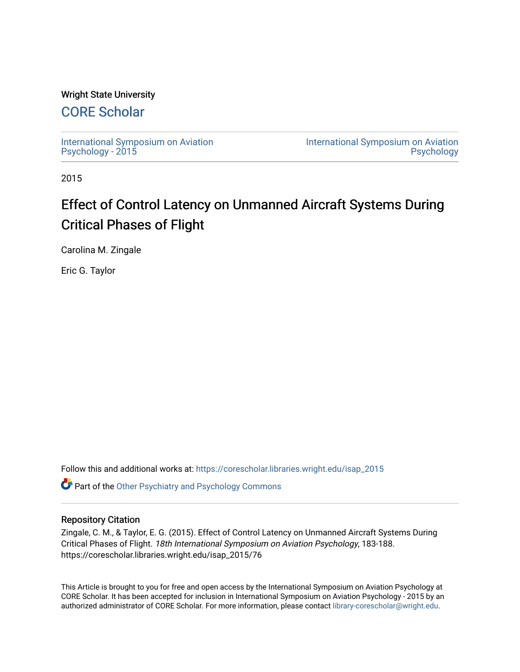# Wright State University

# [CORE Scholar](https://corescholar.libraries.wright.edu/)

[International Symposium on Aviation](https://corescholar.libraries.wright.edu/isap_2015) [Psychology - 2015](https://corescholar.libraries.wright.edu/isap_2015)

[International Symposium on Aviation](https://corescholar.libraries.wright.edu/isap)  [Psychology](https://corescholar.libraries.wright.edu/isap) 

2015

# Effect of Control Latency on Unmanned Aircraft Systems During Critical Phases of Flight

Carolina M. Zingale

Eric G. Taylor

Follow this and additional works at: [https://corescholar.libraries.wright.edu/isap\\_2015](https://corescholar.libraries.wright.edu/isap_2015?utm_source=corescholar.libraries.wright.edu%2Fisap_2015%2F76&utm_medium=PDF&utm_campaign=PDFCoverPages)

**Part of the [Other Psychiatry and Psychology Commons](http://network.bepress.com/hgg/discipline/992?utm_source=corescholar.libraries.wright.edu%2Fisap_2015%2F76&utm_medium=PDF&utm_campaign=PDFCoverPages)** 

## Repository Citation

Zingale, C. M., & Taylor, E. G. (2015). Effect of Control Latency on Unmanned Aircraft Systems During Critical Phases of Flight. 18th International Symposium on Aviation Psychology, 183-188. https://corescholar.libraries.wright.edu/isap\_2015/76

This Article is brought to you for free and open access by the International Symposium on Aviation Psychology at CORE Scholar. It has been accepted for inclusion in International Symposium on Aviation Psychology - 2015 by an authorized administrator of CORE Scholar. For more information, please contact [library-corescholar@wright.edu](mailto:library-corescholar@wright.edu).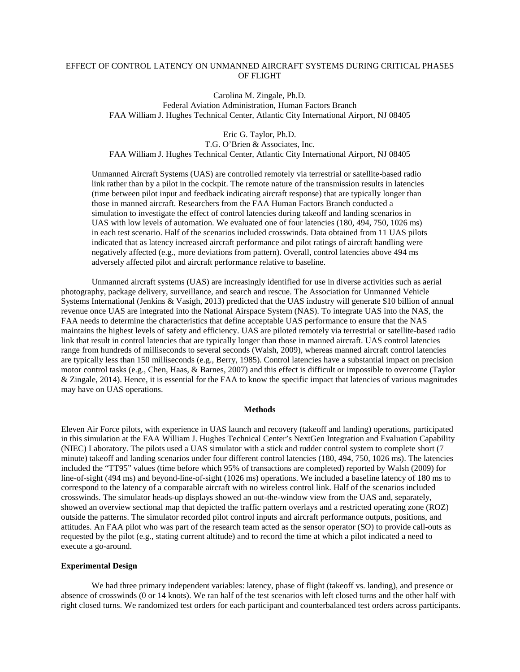### EFFECT OF CONTROL LATENCY ON UNMANNED AIRCRAFT SYSTEMS DURING CRITICAL PHASES OF FLIGHT

Carolina M. Zingale, Ph.D. Federal Aviation Administration, Human Factors Branch FAA William J. Hughes Technical Center, Atlantic City International Airport, NJ 08405

Eric G. Taylor, Ph.D. T.G. O'Brien & Associates, Inc. FAA William J. Hughes Technical Center, Atlantic City International Airport, NJ 08405

Unmanned Aircraft Systems (UAS) are controlled remotely via terrestrial or satellite-based radio link rather than by a pilot in the cockpit. The remote nature of the transmission results in latencies (time between pilot input and feedback indicating aircraft response) that are typically longer than those in manned aircraft. Researchers from the FAA Human Factors Branch conducted a simulation to investigate the effect of control latencies during takeoff and landing scenarios in UAS with low levels of automation. We evaluated one of four latencies (180, 494, 750, 1026 ms) in each test scenario. Half of the scenarios included crosswinds. Data obtained from 11 UAS pilots indicated that as latency increased aircraft performance and pilot ratings of aircraft handling were negatively affected (e.g., more deviations from pattern). Overall, control latencies above 494 ms adversely affected pilot and aircraft performance relative to baseline.

Unmanned aircraft systems (UAS) are increasingly identified for use in diverse activities such as aerial photography, package delivery, surveillance, and search and rescue. The Association for Unmanned Vehicle Systems International (Jenkins & Vasigh, 2013) predicted that the UAS industry will generate \$10 billion of annual revenue once UAS are integrated into the National Airspace System (NAS). To integrate UAS into the NAS, the FAA needs to determine the characteristics that define acceptable UAS performance to ensure that the NAS maintains the highest levels of safety and efficiency. UAS are piloted remotely via terrestrial or satellite-based radio link that result in control latencies that are typically longer than those in manned aircraft. UAS control latencies range from hundreds of milliseconds to several seconds (Walsh, 2009), whereas manned aircraft control latencies are typically less than 150 milliseconds (e.g., Berry, 1985). Control latencies have a substantial impact on precision motor control tasks (e.g., Chen, Haas, & Barnes, 2007) and this effect is difficult or impossible to overcome (Taylor & Zingale, 2014). Hence, it is essential for the FAA to know the specific impact that latencies of various magnitudes may have on UAS operations.

#### **Methods**

Eleven Air Force pilots, with experience in UAS launch and recovery (takeoff and landing) operations, participated in this simulation at the FAA William J. Hughes Technical Center's NextGen Integration and Evaluation Capability (NIEC) Laboratory. The pilots used a UAS simulator with a stick and rudder control system to complete short (7 minute) takeoff and landing scenarios under four different control latencies (180, 494, 750, 1026 ms). The latencies included the "TT95" values (time before which 95% of transactions are completed) reported by Walsh (2009) for line-of-sight (494 ms) and beyond-line-of-sight (1026 ms) operations. We included a baseline latency of 180 ms to correspond to the latency of a comparable aircraft with no wireless control link. Half of the scenarios included crosswinds. The simulator heads-up displays showed an out-the-window view from the UAS and, separately, showed an overview sectional map that depicted the traffic pattern overlays and a restricted operating zone (ROZ) outside the patterns. The simulator recorded pilot control inputs and aircraft performance outputs, positions, and attitudes. An FAA pilot who was part of the research team acted as the sensor operator (SO) to provide call-outs as requested by the pilot (e.g., stating current altitude) and to record the time at which a pilot indicated a need to execute a go-around.

#### **Experimental Design**

We had three primary independent variables: latency, phase of flight (takeoff vs. landing), and presence or absence of crosswinds (0 or 14 knots). We ran half of the test scenarios with left closed turns and the other half with right closed turns. We randomized test orders for each participant and counterbalanced test orders across participants.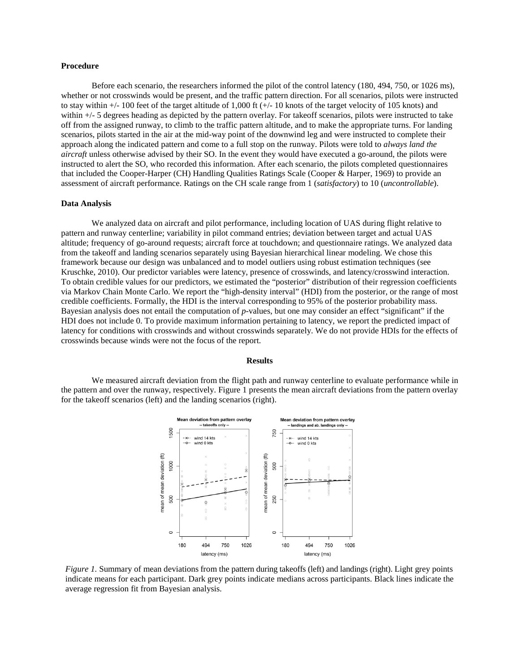#### **Procedure**

Before each scenario, the researchers informed the pilot of the control latency (180, 494, 750, or 1026 ms), whether or not crosswinds would be present, and the traffic pattern direction. For all scenarios, pilots were instructed to stay within  $+/- 100$  feet of the target altitude of 1,000 ft  $(+/- 10$  knots of the target velocity of 105 knots) and within  $+/-$  5 degrees heading as depicted by the pattern overlay. For takeoff scenarios, pilots were instructed to take off from the assigned runway, to climb to the traffic pattern altitude, and to make the appropriate turns. For landing scenarios, pilots started in the air at the mid-way point of the downwind leg and were instructed to complete their approach along the indicated pattern and come to a full stop on the runway. Pilots were told to *always land the aircraft* unless otherwise advised by their SO. In the event they would have executed a go-around, the pilots were instructed to alert the SO, who recorded this information. After each scenario, the pilots completed questionnaires that included the Cooper-Harper (CH) Handling Qualities Ratings Scale (Cooper & Harper, 1969) to provide an assessment of aircraft performance. Ratings on the CH scale range from 1 (*satisfactory*) to 10 (*uncontrollable*).

#### **Data Analysis**

We analyzed data on aircraft and pilot performance, including location of UAS during flight relative to pattern and runway centerline; variability in pilot command entries; deviation between target and actual UAS altitude; frequency of go-around requests; aircraft force at touchdown; and questionnaire ratings. We analyzed data from the takeoff and landing scenarios separately using Bayesian hierarchical linear modeling. We chose this framework because our design was unbalanced and to model outliers using robust estimation techniques (see Kruschke, 2010). Our predictor variables were latency, presence of crosswinds, and latency/crosswind interaction. To obtain credible values for our predictors, we estimated the "posterior" distribution of their regression coefficients via Markov Chain Monte Carlo. We report the "high-density interval" (HDI) from the posterior, or the range of most credible coefficients. Formally, the HDI is the interval corresponding to 95% of the posterior probability mass. Bayesian analysis does not entail the computation of *p*-values, but one may consider an effect "significant" if the HDI does not include 0. To provide maximum information pertaining to latency, we report the predicted impact of latency for conditions with crosswinds and without crosswinds separately. We do not provide HDIs for the effects of crosswinds because winds were not the focus of the report.

#### **Results**

We measured aircraft deviation from the flight path and runway centerline to evaluate performance while in the pattern and over the runway, respectively. Figure 1 presents the mean aircraft deviations from the pattern overlay for the takeoff scenarios (left) and the landing scenarios (right).



*Figure 1.* Summary of mean deviations from the pattern during takeoffs (left) and landings (right). Light grey points indicate means for each participant. Dark grey points indicate medians across participants. Black lines indicate the average regression fit from Bayesian analysis.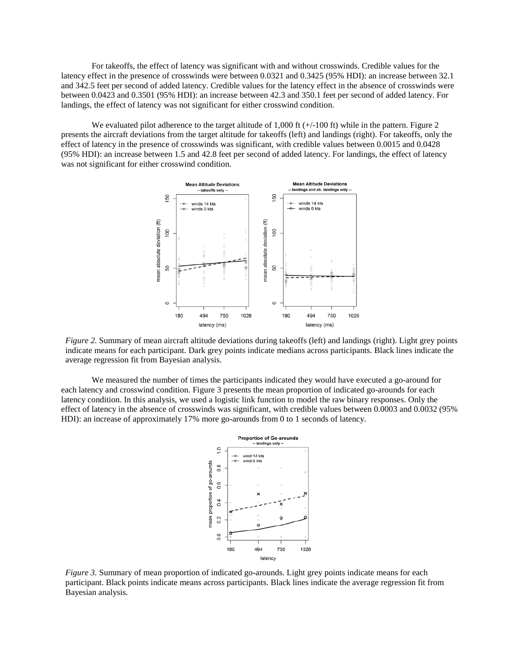For takeoffs, the effect of latency was significant with and without crosswinds. Credible values for the latency effect in the presence of crosswinds were between 0.0321 and 0.3425 (95% HDI): an increase between 32.1 and 342.5 feet per second of added latency. Credible values for the latency effect in the absence of crosswinds were between 0.0423 and 0.3501 (95% HDI): an increase between 42.3 and 350.1 feet per second of added latency. For landings, the effect of latency was not significant for either crosswind condition.

We evaluated pilot adherence to the target altitude of 1,000 ft  $(+/-100$  ft) while in the pattern. Figure 2 presents the aircraft deviations from the target altitude for takeoffs (left) and landings (right). For takeoffs, only the effect of latency in the presence of crosswinds was significant, with credible values between 0.0015 and 0.0428 (95% HDI): an increase between 1.5 and 42.8 feet per second of added latency. For landings, the effect of latency was not significant for either crosswind condition.



*Figure 2.* Summary of mean aircraft altitude deviations during takeoffs (left) and landings (right). Light grey points indicate means for each participant. Dark grey points indicate medians across participants. Black lines indicate the average regression fit from Bayesian analysis.

We measured the number of times the participants indicated they would have executed a go-around for each latency and crosswind condition. Figure 3 presents the mean proportion of indicated go-arounds for each latency condition. In this analysis, we used a logistic link function to model the raw binary responses. Only the effect of latency in the absence of crosswinds was significant, with credible values between 0.0003 and 0.0032 (95% HDI): an increase of approximately 17% more go-arounds from 0 to 1 seconds of latency.



*Figure 3.* Summary of mean proportion of indicated go-arounds. Light grey points indicate means for each participant. Black points indicate means across participants. Black lines indicate the average regression fit from Bayesian analysis.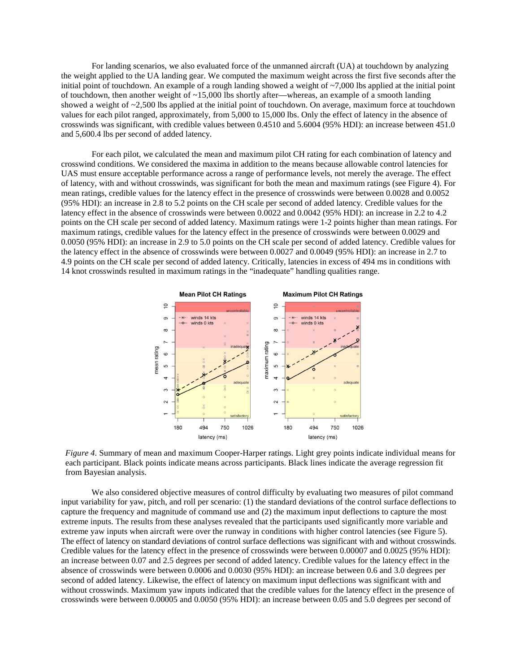For landing scenarios, we also evaluated force of the unmanned aircraft (UA) at touchdown by analyzing the weight applied to the UA landing gear. We computed the maximum weight across the first five seconds after the initial point of touchdown. An example of a rough landing showed a weight of  $\sim$ 7,000 lbs applied at the initial point of touchdown, then another weight of ~15,000 lbs shortly after—whereas, an example of a smooth landing showed a weight of ~2,500 lbs applied at the initial point of touchdown. On average, maximum force at touchdown values for each pilot ranged, approximately, from 5,000 to 15,000 lbs. Only the effect of latency in the absence of crosswinds was significant, with credible values between 0.4510 and 5.6004 (95% HDI): an increase between 451.0 and 5,600.4 lbs per second of added latency.

For each pilot, we calculated the mean and maximum pilot CH rating for each combination of latency and crosswind conditions. We considered the maxima in addition to the means because allowable control latencies for UAS must ensure acceptable performance across a range of performance levels, not merely the average. The effect of latency, with and without crosswinds, was significant for both the mean and maximum ratings (see Figure 4). For mean ratings, credible values for the latency effect in the presence of crosswinds were between 0.0028 and 0.0052 (95% HDI): an increase in 2.8 to 5.2 points on the CH scale per second of added latency. Credible values for the latency effect in the absence of crosswinds were between 0.0022 and 0.0042 (95% HDI): an increase in 2.2 to 4.2 points on the CH scale per second of added latency. Maximum ratings were 1-2 points higher than mean ratings. For maximum ratings, credible values for the latency effect in the presence of crosswinds were between 0.0029 and 0.0050 (95% HDI): an increase in 2.9 to 5.0 points on the CH scale per second of added latency. Credible values for the latency effect in the absence of crosswinds were between 0.0027 and 0.0049 (95% HDI): an increase in 2.7 to 4.9 points on the CH scale per second of added latency. Critically, latencies in excess of 494 ms in conditions with 14 knot crosswinds resulted in maximum ratings in the "inadequate" handling qualities range.



*Figure 4.* Summary of mean and maximum Cooper-Harper ratings. Light grey points indicate individual means for each participant. Black points indicate means across participants. Black lines indicate the average regression fit from Bayesian analysis.

We also considered objective measures of control difficulty by evaluating two measures of pilot command input variability for yaw, pitch, and roll per scenario: (1) the standard deviations of the control surface deflections to capture the frequency and magnitude of command use and (2) the maximum input deflections to capture the most extreme inputs. The results from these analyses revealed that the participants used significantly more variable and extreme yaw inputs when aircraft were over the runway in conditions with higher control latencies (see Figure 5). The effect of latency on standard deviations of control surface deflections was significant with and without crosswinds. Credible values for the latency effect in the presence of crosswinds were between 0.00007 and 0.0025 (95% HDI): an increase between 0.07 and 2.5 degrees per second of added latency. Credible values for the latency effect in the absence of crosswinds were between 0.0006 and 0.0030 (95% HDI): an increase between 0.6 and 3.0 degrees per second of added latency. Likewise, the effect of latency on maximum input deflections was significant with and without crosswinds. Maximum yaw inputs indicated that the credible values for the latency effect in the presence of crosswinds were between 0.00005 and 0.0050 (95% HDI): an increase between 0.05 and 5.0 degrees per second of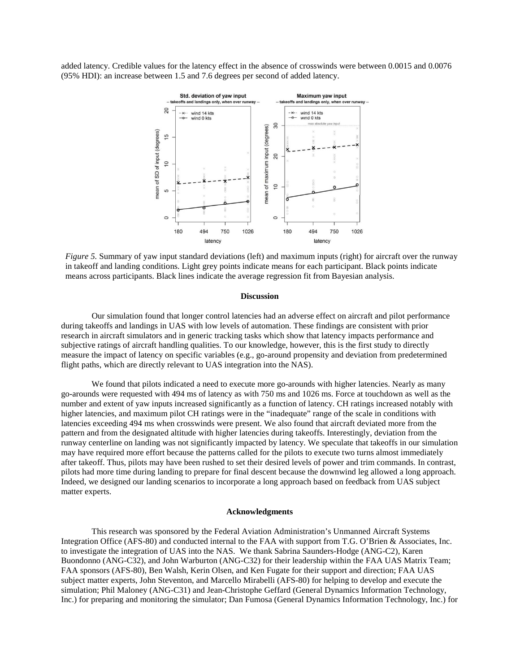added latency. Credible values for the latency effect in the absence of crosswinds were between 0.0015 and 0.0076 (95% HDI): an increase between 1.5 and 7.6 degrees per second of added latency.



*Figure 5.* Summary of yaw input standard deviations (left) and maximum inputs (right) for aircraft over the runway in takeoff and landing conditions. Light grey points indicate means for each participant. Black points indicate means across participants. Black lines indicate the average regression fit from Bayesian analysis.

#### **Discussion**

Our simulation found that longer control latencies had an adverse effect on aircraft and pilot performance during takeoffs and landings in UAS with low levels of automation. These findings are consistent with prior research in aircraft simulators and in generic tracking tasks which show that latency impacts performance and subjective ratings of aircraft handling qualities. To our knowledge, however, this is the first study to directly measure the impact of latency on specific variables (e.g., go-around propensity and deviation from predetermined flight paths, which are directly relevant to UAS integration into the NAS).

We found that pilots indicated a need to execute more go-arounds with higher latencies. Nearly as many go-arounds were requested with 494 ms of latency as with 750 ms and 1026 ms. Force at touchdown as well as the number and extent of yaw inputs increased significantly as a function of latency. CH ratings increased notably with higher latencies, and maximum pilot CH ratings were in the "inadequate" range of the scale in conditions with latencies exceeding 494 ms when crosswinds were present. We also found that aircraft deviated more from the pattern and from the designated altitude with higher latencies during takeoffs. Interestingly, deviation from the runway centerline on landing was not significantly impacted by latency. We speculate that takeoffs in our simulation may have required more effort because the patterns called for the pilots to execute two turns almost immediately after takeoff. Thus, pilots may have been rushed to set their desired levels of power and trim commands. In contrast, pilots had more time during landing to prepare for final descent because the downwind leg allowed a long approach. Indeed, we designed our landing scenarios to incorporate a long approach based on feedback from UAS subject matter experts.

#### **Acknowledgments**

This research was sponsored by the Federal Aviation Administration's Unmanned Aircraft Systems Integration Office (AFS-80) and conducted internal to the FAA with support from T.G. O'Brien & Associates, Inc. to investigate the integration of UAS into the NAS. We thank Sabrina Saunders-Hodge (ANG-C2), Karen Buondonno (ANG-C32), and John Warburton (ANG-C32) for their leadership within the FAA UAS Matrix Team; FAA sponsors (AFS-80), Ben Walsh, Kerin Olsen, and Ken Fugate for their support and direction; FAA UAS subject matter experts, John Steventon, and Marcello Mirabelli (AFS-80) for helping to develop and execute the simulation; Phil Maloney (ANG-C31) and Jean-Christophe Geffard (General Dynamics Information Technology, Inc.) for preparing and monitoring the simulator; Dan Fumosa (General Dynamics Information Technology, Inc.) for